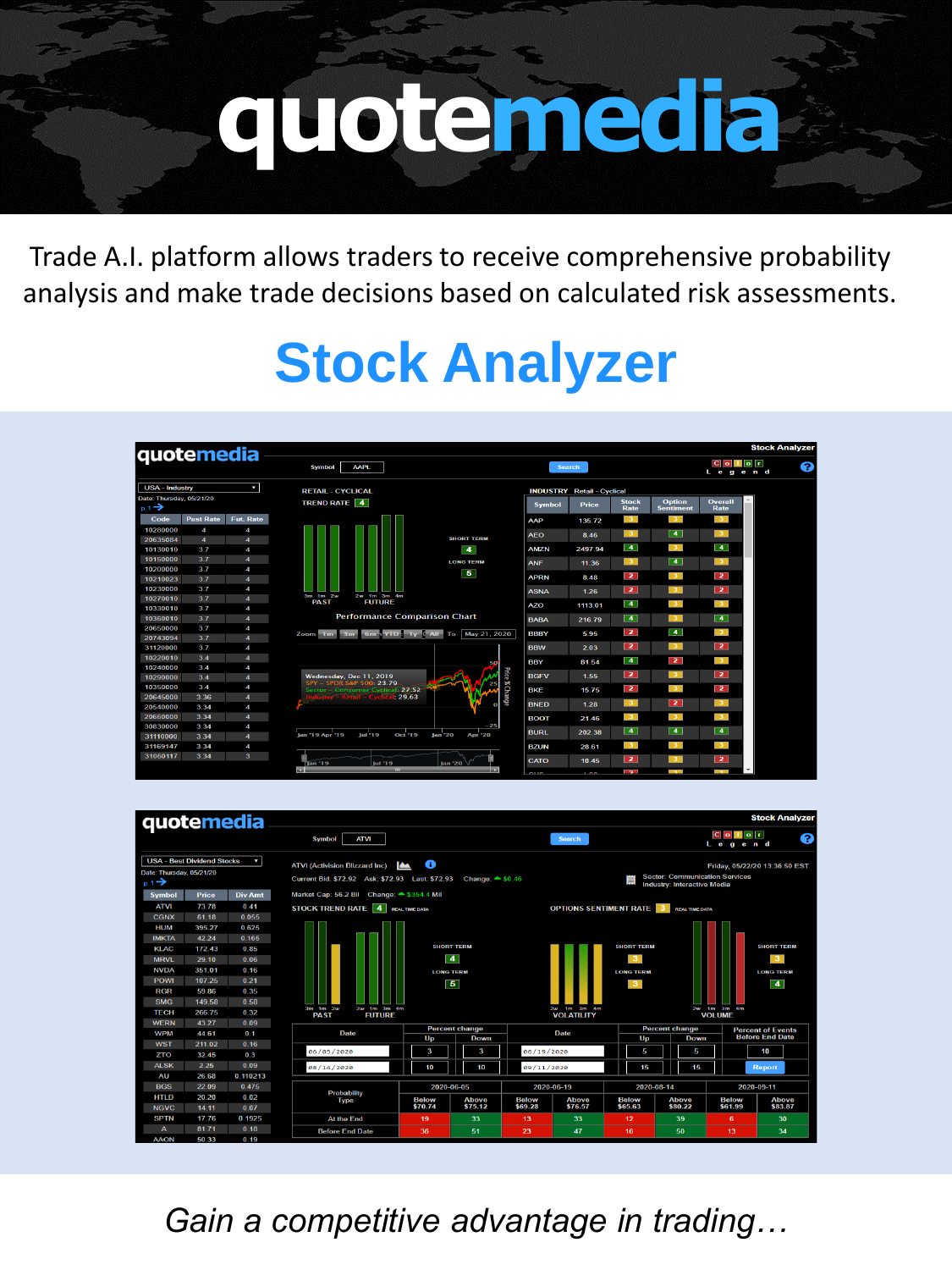# **quotemedia**

Trade A.I. platform allows traders to receive comprehensive probability analysis and make trade decisions based on calculated risk assessments.

## **Stock Analyzer**

| quotemedia                                    |                  |                       |                                                                    |                                  |               |                                   |                            |                            |                                    | <b>Stock Analyzer</b> |
|-----------------------------------------------|------------------|-----------------------|--------------------------------------------------------------------|----------------------------------|---------------|-----------------------------------|----------------------------|----------------------------|------------------------------------|-----------------------|
|                                               |                  |                       | <b>AAPL</b><br><b>Symbol</b>                                       |                                  |               | <b>Search</b>                     |                            |                            | $C$ o $I$ o $r$<br>Legend          | €                     |
| <b>USA - Industry</b>                         |                  | ы                     | <b>RETAIL - CYCLICAL</b>                                           |                                  |               | <b>INDUSTRY</b> Retail - Cyclical |                            |                            |                                    |                       |
| Date: Thursday, 05/21/20<br>$p.1 \rightarrow$ |                  |                       | TREND RATE 4                                                       |                                  | <b>Symbol</b> | <b>Price</b>                      | <b>Stock</b><br>Rate       | Option<br><b>Sentiment</b> | Overall<br>Rate                    |                       |
| Code                                          | <b>Past Rate</b> | Fut. Rate             |                                                                    |                                  | AAP           | 135.72                            | $\overline{\mathbf{3}}$    | $\overline{3}$             | 3 <sup>7</sup>                     |                       |
| 10280000                                      | 4                | 4                     |                                                                    |                                  | <b>AEO</b>    | 8.46                              | 3                          | $\overline{4}$             | $\overline{3}$                     |                       |
| 20635084                                      | $\overline{4}$   | $\overline{4}$        |                                                                    | <b>SHORT TERM</b>                |               |                                   |                            |                            |                                    |                       |
| 10130010                                      | 3.7              | 4                     |                                                                    | $\overline{4}$                   | <b>AMZN</b>   | 2497.94                           | $\vert$ 4 $\vert$          | -31                        | $\overline{4}$                     |                       |
| 10150000                                      | 3.7              | $\boldsymbol{A}$      |                                                                    | <b>LONG TERM</b>                 | <b>ANF</b>    | 11.36                             | $\sqrt{3}$                 | $\overline{4}$             | 3 <sup>2</sup>                     |                       |
| 10200000                                      | 3.7              | 4                     |                                                                    | $\overline{\mathbf{5}}$          |               |                                   | $\overline{2}$             | -31                        | $\overline{2}$                     |                       |
| 10210023                                      | 3.7              | $\boldsymbol{A}$      |                                                                    |                                  | <b>APRN</b>   | 8.48                              |                            |                            |                                    |                       |
| 10230000                                      | 3.7              | 4                     | 3m 1m 2w<br>2w 1m 3m 4m                                            |                                  | <b>ASNA</b>   | 1.26                              | $\overline{2}$             | 3 <sup>2</sup>             | $\overline{2}$                     |                       |
| 10270010                                      | 3.7              | $\boldsymbol{A}$      | <b>FUTURE</b><br><b>PAST</b>                                       |                                  | <b>AZO</b>    | 1113.01                           | $\boxed{4}$                | 3 <sup>7</sup>             | 3 <sup>2</sup>                     |                       |
| 10330010                                      | 3.7              | 4                     | <b>Performance Comparison Chart</b>                                |                                  |               |                                   |                            |                            |                                    |                       |
| 10360010                                      | 3.7              | $\overline{4}$        |                                                                    |                                  | <b>BABA</b>   | 216.79                            | $\sqrt{4}$                 | 3 <sup>7</sup>             | $\overline{4}$                     |                       |
| 20650000                                      | 3.7              | 4                     | Zoom 1m<br>Sm.                                                     | 6m YTD: 1y ( All To May 21, 2020 | <b>BBBY</b>   | 5.95                              | $\overline{2}$             | $\overline{4}$             | 3 <sup>1</sup>                     |                       |
| 20743094                                      | 3.7              | $\boldsymbol{A}$      |                                                                    |                                  |               |                                   | $\overline{2}$             | 3 <sup>7</sup>             | $\overline{2}$                     |                       |
| 31120000                                      | 3.7              | 4                     |                                                                    |                                  | <b>BBW</b>    | 2.03                              |                            |                            |                                    |                       |
| 10220010<br>10240000                          | 3.4<br>3.4       | $\boldsymbol{A}$<br>4 |                                                                    | 50                               | BBY           | 81.54                             | $\sqrt{4}$                 | $\overline{z}$             | 3 <sup>7</sup>                     |                       |
| 10290000                                      | 3.4              | $\overline{4}$        | Wednesday, Dec 11, 2019                                            | Price <b>%</b> Change            | <b>BGFV</b>   | 1.55                              | $\overline{2}$             | 3 <sup>7</sup>             | $\overline{2}$                     |                       |
| 10350000                                      | 3.4              | 4                     | SPY - SPDR S&P 500: 23.79                                          | 25                               |               |                                   |                            |                            |                                    |                       |
| 20645000                                      | 3.36             | $\overline{4}$        | Sector - Consumer Cyclical: 27.52<br>$w -$ Retail – Cyclical 29.63 |                                  | <b>BKF</b>    | 15.75                             | $\overline{2}$             | 3 <sup>1</sup>             | $\overline{2}$                     |                       |
| 20540000                                      | 3.34             | 4                     |                                                                    | o                                | <b>BNED</b>   | 1.28                              | $\overline{\mathbf{3}}$    | $\overline{2}$             | 3 <sup>2</sup>                     |                       |
| 20660000                                      | 3.34             | $\overline{4}$        |                                                                    |                                  | <b>BOOT</b>   | 21.46                             | $\overline{\phantom{a}}$ 3 | $\overline{\phantom{a}3}$  | 3 <sup>2</sup>                     |                       |
| 30830000                                      | 3.34             | 4                     |                                                                    | $-25$                            |               |                                   |                            |                            |                                    |                       |
| 31110000                                      | 3.34             | $\overline{4}$        | Jan '19 Apr '19<br><b>Oct '19</b><br><b>Jul '19</b>                | lan '20<br><b>Apr '20</b>        | <b>BURL</b>   | 202.38                            | $\overline{4}$             | $\overline{4}$             | $\overline{4}$                     |                       |
| 31169147                                      | 3.34             | 4                     |                                                                    |                                  | <b>BZUN</b>   | 28.61                             | 3 <sup>1</sup>             | 3 <sup>7</sup>             | 3 <sup>2</sup>                     |                       |
| 31060117                                      | 3.34             | 3                     |                                                                    |                                  |               |                                   | $\overline{2}$             | 3 <sup>7</sup>             | $\overline{2}$                     |                       |
|                                               |                  |                       | Jan '19<br><b>but '1.9</b><br>$111 -$                              | lan '20<br>ш                     | CATO          | 10.45                             | l ? l                      | $\sim$                     | $\overline{\phantom{a}}$<br>$\sim$ |                       |



*Gain a competitive advantage in trading…*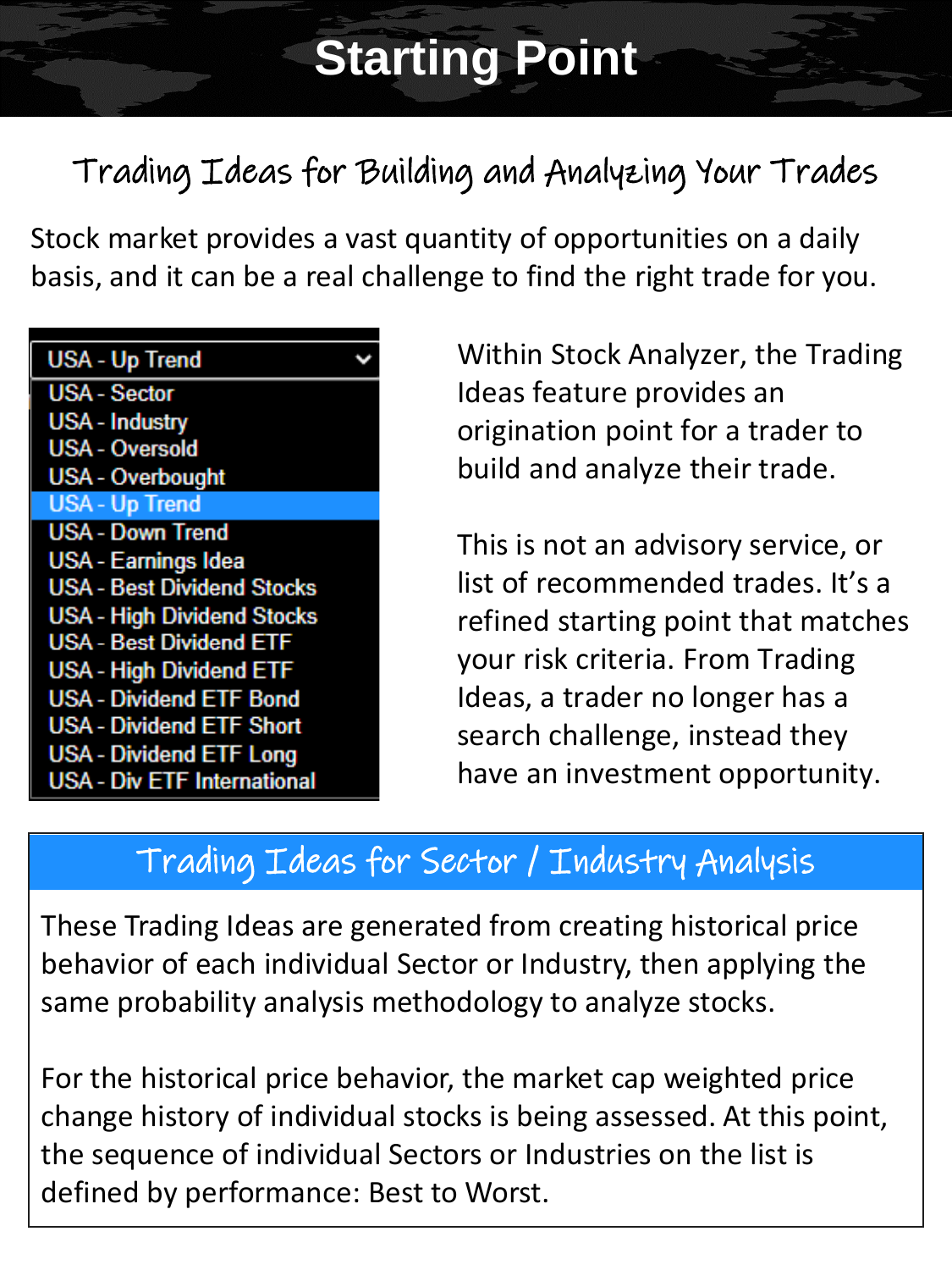## **Starting Point**

## Trading Ideas for Building and Analyzing Your Trades

Stock market provides a vast quantity of opportunities on a daily basis, and it can be a real challenge to find the right trade for you.

| <b>USA - Up Trend</b>              |  |
|------------------------------------|--|
| <b>USA - Sector</b>                |  |
| <b>USA - Industry</b>              |  |
| <b>USA - Oversold</b>              |  |
| <b>USA - Overbought</b>            |  |
| <b>USA - Up Trend</b>              |  |
| <b>USA - Down Trend</b>            |  |
| <b>USA - Earnings Idea</b>         |  |
| <b>USA - Best Dividend Stocks</b>  |  |
| <b>USA - High Dividend Stocks</b>  |  |
| <b>USA - Best Dividend ETF</b>     |  |
| <b>USA - High Dividend ETF</b>     |  |
| <b>USA - Dividend ETF Bond</b>     |  |
| <b>USA - Dividend ETF Short</b>    |  |
| <b>USA - Dividend ETF Long</b>     |  |
| <b>USA - Div ETF International</b> |  |
|                                    |  |

Within Stock Analyzer, the Trading Ideas feature provides an origination point for a trader to build and analyze their trade.

This is not an advisory service, or list of recommended trades. It's a refined starting point that matches your risk criteria. From Trading Ideas, a trader no longer has a search challenge, instead they have an investment opportunity.

## Trading Ideas for Sector / Industry Analysis

These Trading Ideas are generated from creating historical price behavior of each individual Sector or Industry, then applying the same probability analysis methodology to analyze stocks.

For the historical price behavior, the market cap weighted price change history of individual stocks is being assessed. At this point, the sequence of individual Sectors or Industries on the list is defined by performance: Best to Worst.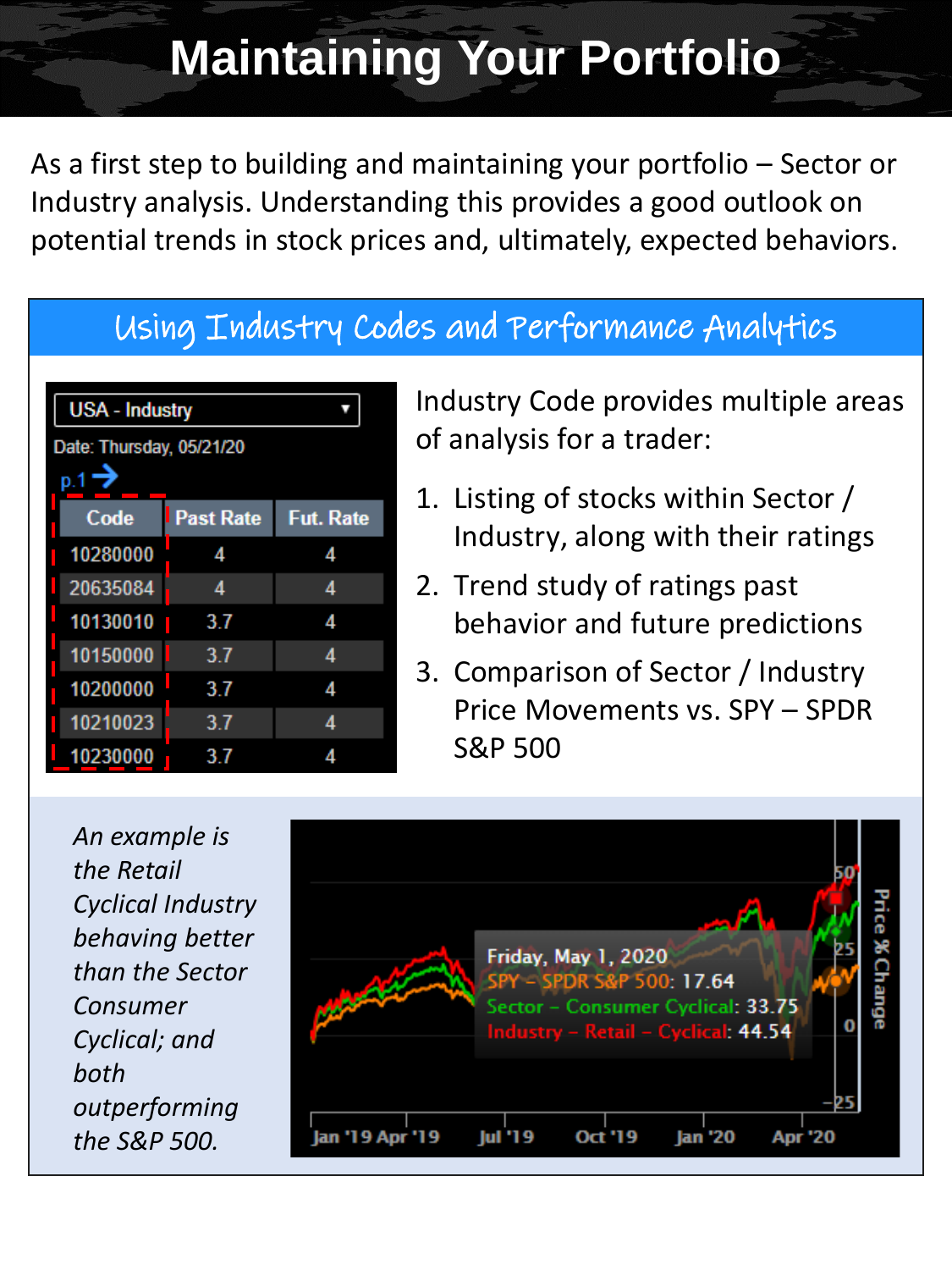## **Maintaining Your Portfolio**

As a first step to building and maintaining your portfolio – Sector or Industry analysis. Understanding this provides a good outlook on potential trends in stock prices and, ultimately, expected behaviors.

#### Using Industry Codes and Performance Analytics

| <b>USA - Industry</b>    |                  |                  |  |  |  |  |
|--------------------------|------------------|------------------|--|--|--|--|
| Date: Thursday, 05/21/20 |                  |                  |  |  |  |  |
| p.1                      |                  |                  |  |  |  |  |
| Code                     | <b>Past Rate</b> | <b>Fut. Rate</b> |  |  |  |  |
| 10280000                 | 4                | 4                |  |  |  |  |
| 20635084                 | Δ                | Δ                |  |  |  |  |
| 10130010                 | 3.7              | Δ                |  |  |  |  |
| 10150000                 | 3.7              | 4                |  |  |  |  |
| 10200000                 | 3.7              | 4                |  |  |  |  |
| 10210023                 | 3.7              | Δ                |  |  |  |  |
| 10230000                 | 3.7              | 4                |  |  |  |  |

Industry Code provides multiple areas of analysis for a trader:

- 1. Listing of stocks within Sector / Industry, along with their ratings
- 2. Trend study of ratings past behavior and future predictions
- 3. Comparison of Sector / Industry Price Movements vs. SPY – SPDR S&P 500

*An example is the Retail Cyclical Industry behaving better than the Sector Consumer Cyclical; and both outperforming the S&P 500.*

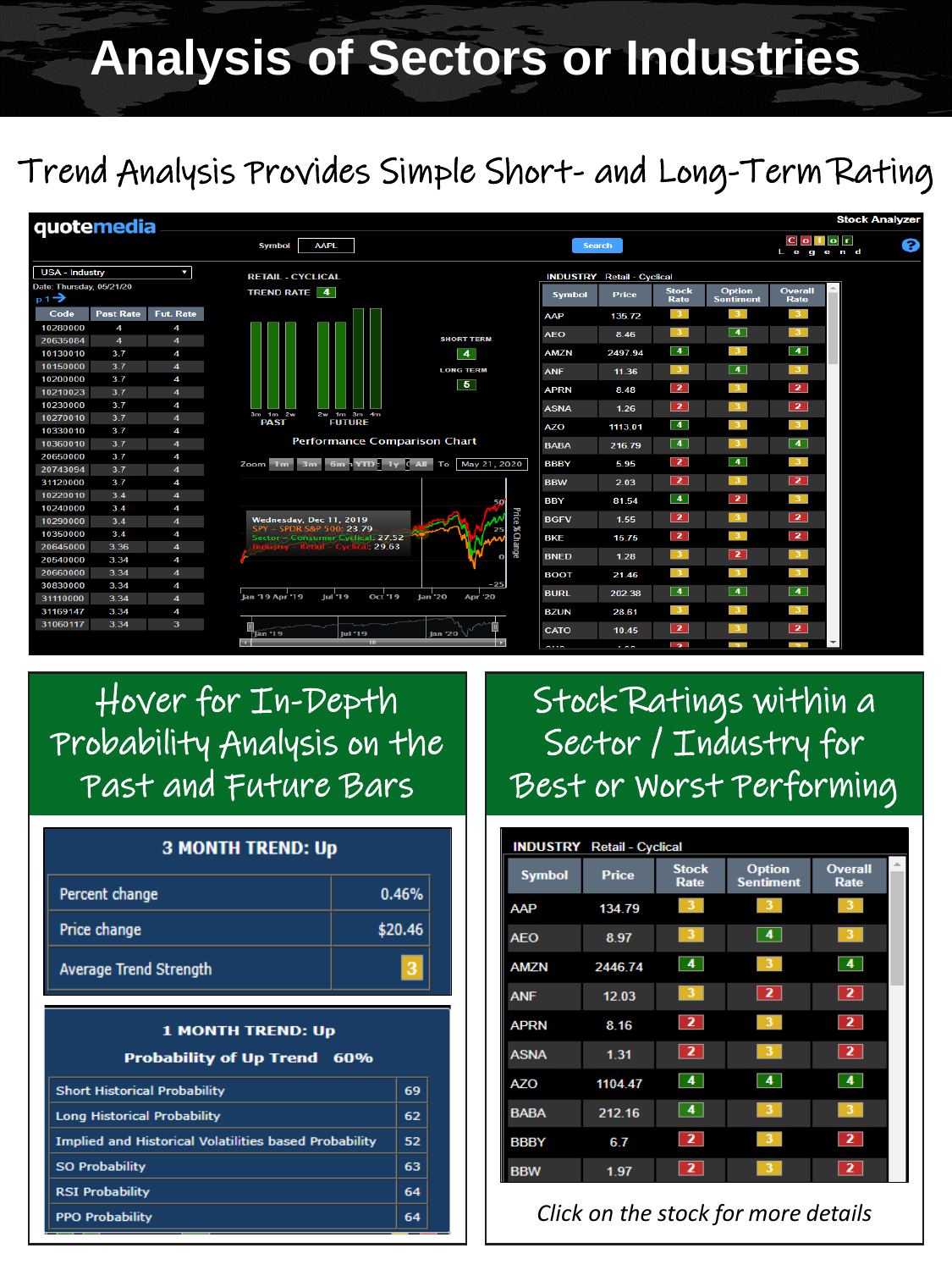## **Analysis of Sectors or Industries**

## Trend Analysis Provides Simple Short- and Long-Term Rating

| quotemedia               |                                                                                             |                          |                                                                        |                                    |               |               |                      |                          |                                 | <b>Stock Analyzer</b> |   |
|--------------------------|---------------------------------------------------------------------------------------------|--------------------------|------------------------------------------------------------------------|------------------------------------|---------------|---------------|----------------------|--------------------------|---------------------------------|-----------------------|---|
|                          |                                                                                             |                          | <b>AAPL</b><br><b>Symbol</b>                                           |                                    |               | <b>Search</b> |                      |                          | $ C $ o $ T $ o $ T $<br>Legend |                       | a |
|                          | <b>USA - Industry</b><br>k<br><b>RETAIL - CYCLICAL</b><br><b>INDUSTRY</b> Retail - Cyclical |                          |                                                                        |                                    |               |               |                      |                          |                                 |                       |   |
| Date: Thursday, 05/21/20 |                                                                                             |                          | TREND RATE 4                                                           |                                    | <b>Symbol</b> | Price         | <b>Stock</b>         | <b>Option</b>            | Overall                         |                       |   |
| $p.1 \rightarrow$        |                                                                                             |                          |                                                                        |                                    |               |               | Rate                 | <b>Sentiment</b>         | Rate                            |                       |   |
| Code                     | <b>Past Rate</b>                                                                            | Fut. Rate                |                                                                        |                                    | <b>AAP</b>    | 135.72        | 3 <sup>1</sup>       | 3 <sup>7</sup>           | 3 <sup>7</sup>                  |                       |   |
| 10280000                 | 4                                                                                           | 4                        |                                                                        |                                    | <b>AEO</b>    | 8.46          | 3 <sub>1</sub>       | $\overline{4}$           | 3 <sup>7</sup>                  |                       |   |
| 20635084                 | $\overline{\bf{4}}$                                                                         | $\overline{4}$           |                                                                        | <b>SHORT TERM</b>                  |               |               |                      |                          |                                 |                       |   |
| 10130010                 | 3.7                                                                                         | 4                        |                                                                        | $\sqrt{4}$                         | <b>AMZN</b>   | 2497.94       | $\left  \right $     | 3 <sup>1</sup>           | $\sqrt{4}$                      |                       |   |
| 10150000                 | 3.7                                                                                         | $\overline{\bf 4}$       |                                                                        | <b>LONG TERM</b>                   | <b>ANF</b>    | 11.36         | $\mathbf{3}$         | $\overline{4}$           | $\Box$                          |                       |   |
| 10200000                 | 3.7                                                                                         | 4                        |                                                                        | $\vert 5 \vert$                    |               |               | $\overline{2}$       | 3.                       | $\overline{2}$                  |                       |   |
| 10210023                 | 3.7                                                                                         | $\overline{\bf{4}}$      |                                                                        |                                    | <b>APRN</b>   | 8.48          |                      |                          |                                 |                       |   |
| 10230000                 | 3.7                                                                                         | 4                        | 3m 1m 2w<br>2w 1m 3m 4m                                                |                                    | <b>ASNA</b>   | 1.26          | $\overline{2}$       | $\overline{\mathbf{3}}$  | $\overline{2}$                  |                       |   |
| 10270010                 | 3.7                                                                                         | $\overline{\mathbf{4}}$  | <b>FUTURE</b><br><b>PAST</b>                                           |                                    | <b>AZO</b>    | 1113.01       | $\left  \right $     | 3 <sup>7</sup>           | 3 <sup>1</sup>                  |                       |   |
| 10330010                 | 3.7                                                                                         | 4                        | <b>Performance Comparison Chart</b>                                    |                                    |               |               |                      |                          |                                 |                       |   |
| 10360010<br>20650000     | 3.7<br>3.7                                                                                  | 4                        |                                                                        |                                    | <b>BABA</b>   | 216.79        | $\overline{4}$       | $\mathbf{3}$             | $\sqrt{4}$                      |                       |   |
| 20743094                 | 3.7                                                                                         | 4<br>$\overline{\bf{4}}$ | 3m<br>Zoom 1m                                                          | 6m 1 YTD: 1y ( All To May 21, 2020 | <b>BBBY</b>   | 5.95          | $\overline{2}$       | $\boxed{4}$              | $\vert 3 \vert$                 |                       |   |
| 31120000                 | 3.7                                                                                         | 4                        |                                                                        |                                    | <b>BBW</b>    | 2.03          | $\overline{2}$       | $\overline{\mathbf{3}}$  | $\overline{2}$                  |                       |   |
| 10220010                 | 3.4                                                                                         | $\overline{4}$           |                                                                        |                                    |               |               |                      |                          |                                 |                       |   |
| 10240000                 | 3.4                                                                                         | 4                        |                                                                        |                                    | <b>BBY</b>    | 81.54         | $\blacktriangleleft$ | $\overline{2}$           | 3 <sup>1</sup>                  |                       |   |
| 10290000                 | 3.4                                                                                         | $\overline{4}$           | Wednesday, Dec 11, 2019                                                | Price % Change                     | <b>BGFV</b>   | 1.55          | $\overline{2}$       | $\overline{\mathbf{3}}$  | $\overline{2}$                  |                       |   |
| 10350000                 | 3.4                                                                                         | 4                        | SPY - SPDR S&P 500: 23.79                                              |                                    |               |               | $\overline{2}$       | 3                        | $\overline{2}$                  |                       |   |
| 20645000                 | 3.36                                                                                        | $\overline{4}$           | Sector - Consumer Cyclical: 27.52<br><b>Retail - Cyclic</b><br>1.29.63 |                                    | <b>BKE</b>    | 15.75         |                      |                          |                                 |                       |   |
| 20540000                 | 3.34                                                                                        | 4                        |                                                                        | o                                  | <b>BNED</b>   | 1.28          | 3 <sup>2</sup>       | $\overline{2}$           | 3 <sup>7</sup>                  |                       |   |
| 20660000                 | 3.34                                                                                        | $\overline{\mathbf{4}}$  |                                                                        |                                    | <b>BOOT</b>   | 21.46         | 3 <sup>1</sup>       | 3 <sup>7</sup>           | $\vert 3 \vert$                 |                       |   |
| 30830000                 | 3.34                                                                                        | 4                        |                                                                        | $-25$                              |               |               |                      |                          |                                 |                       |   |
| 31110000                 | 3.34                                                                                        | $\overline{\bf{4}}$      | Oct '19<br>Jan '19 Apr '19<br>Jul '19                                  | <b>Jan '20</b><br><b>Apr '20</b>   | <b>BURL</b>   | 202.38        | $\overline{4}$       | $\sqrt{4}$               | $\boxed{4}$                     |                       |   |
| 31169147                 | 3.34                                                                                        | 4                        |                                                                        |                                    | <b>BZUN</b>   | 28.61         | $3 -$                |                          | 3 <sup>7</sup>                  |                       |   |
| 31060117                 | 3.34                                                                                        | $\overline{\mathbf{3}}$  |                                                                        |                                    | <b>CATO</b>   | 10.45         | $\overline{2}$       | -3-                      | $\sqrt{2}$                      |                       |   |
|                          |                                                                                             |                          | <b>Tan '19</b><br>Jul '19<br>m.                                        | lan '20                            |               | .             | 5                    | $\overline{\phantom{a}}$ | j                               |                       |   |

## Hover for In-Depth Probability Analysis on the Past and Future Bars

#### **3 MONTH TREND: Up**

| Percent change         | 0.46%   |
|------------------------|---------|
| Price change           | \$20.46 |
| Average Trend Strength |         |

#### **1 MONTH TREND: Up** Probability of Up Trend 60%

| <b>Short Historical Probability</b>                          | 69 |
|--------------------------------------------------------------|----|
| <b>Long Historical Probability</b>                           | 62 |
| <b>Implied and Historical Volatilities based Probability</b> | 52 |
| <b>SO Probability</b>                                        | 63 |
| <b>RSI Probability</b>                                       | 64 |
| <b>PPO Probability</b>                                       | 64 |

## Stock Ratings within a Sector / Industry for Best or Worst Performing

|               | <b>INDUSTRY</b> Retail - Cyclical |                      |                                   |                               |  |
|---------------|-----------------------------------|----------------------|-----------------------------------|-------------------------------|--|
| <b>Symbol</b> | <b>Price</b>                      | <b>Stock</b><br>Rate | <b>Option</b><br><b>Sentiment</b> | <b>Overall</b><br><b>Rate</b> |  |
| AAP           | 134.79                            |                      |                                   |                               |  |
| <b>AEO</b>    | 8.97                              | 3                    | 4                                 | 3                             |  |
| <b>AMZN</b>   | 2446.74                           | 4                    |                                   | 4                             |  |
| <b>ANF</b>    | 12.03                             | 3                    | $\overline{2}$                    | $\overline{2}$                |  |
| <b>APRN</b>   | 8.16                              | $\overline{2}$       |                                   | $\overline{2}$                |  |
| <b>ASNA</b>   | 1.31                              | $\overline{2}$       | з                                 | $\overline{2}$                |  |
| <b>AZO</b>    | 1104.47                           | 4                    | 4                                 | 4                             |  |
| <b>BABA</b>   | 212.16                            | 4                    | 3.                                | з                             |  |
| <b>BBBY</b>   | 6.7                               | 2                    |                                   | $\overline{\mathbf{2}}$       |  |
| <b>BBW</b>    | 1.97                              | 2                    |                                   | 2                             |  |

*Click on the stock for more details*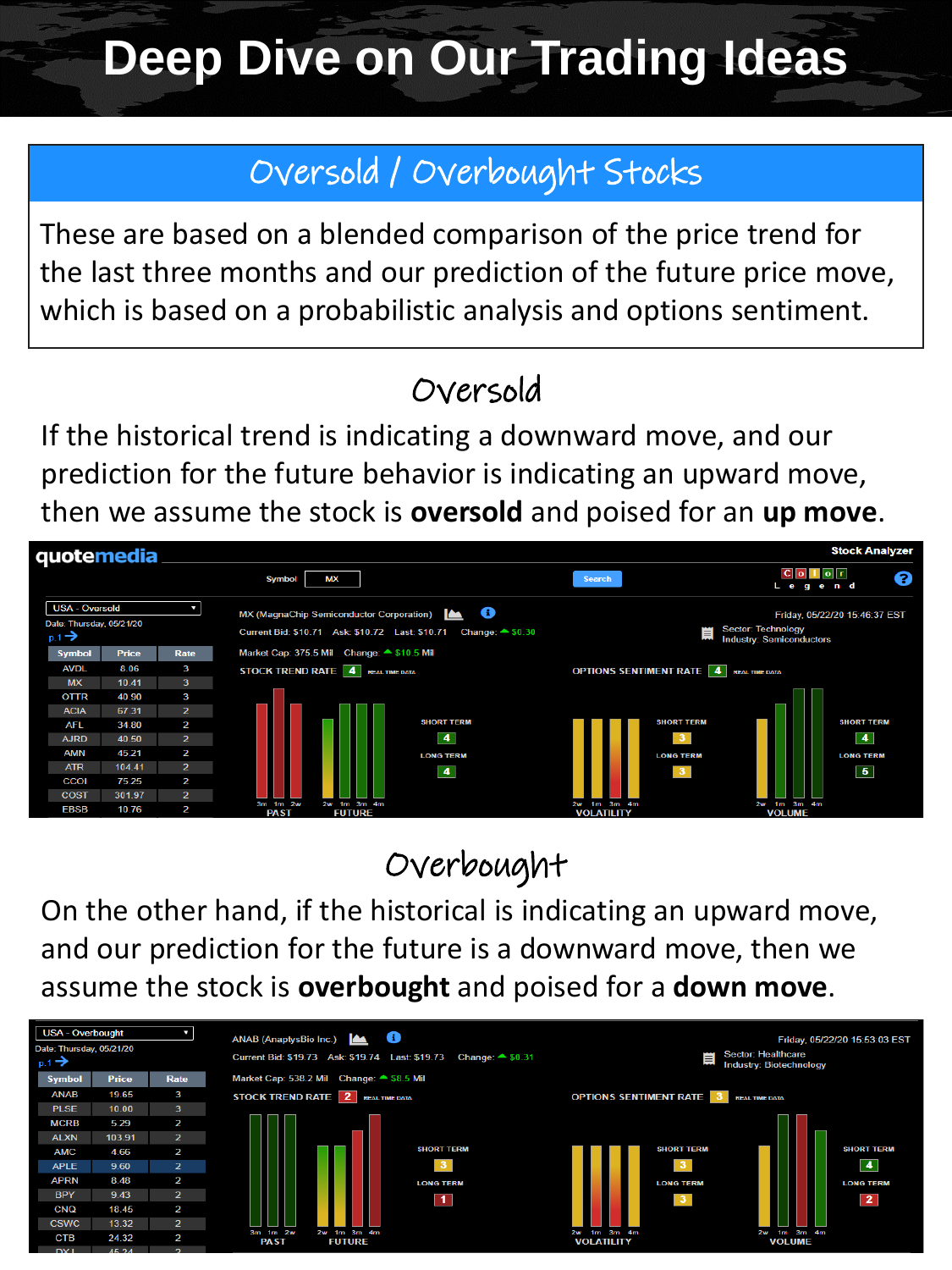## **Deep Dive on Our Trading Ideas**

## Oversold / Overbought Stocks

These are based on a blended comparison of the price trend for the last three months and our prediction of the future price move, which is based on a probabilistic analysis and options sentiment.

## Oversold

If the historical trend is indicating a downward move, and our prediction for the future behavior is indicating an upward move, then we assume the stock is **oversold** and poised for an **up move**.



## Overbought

On the other hand, if the historical is indicating an upward move, and our prediction for the future is a downward move, then we assume the stock is **overbought** and poised for a **down move**.

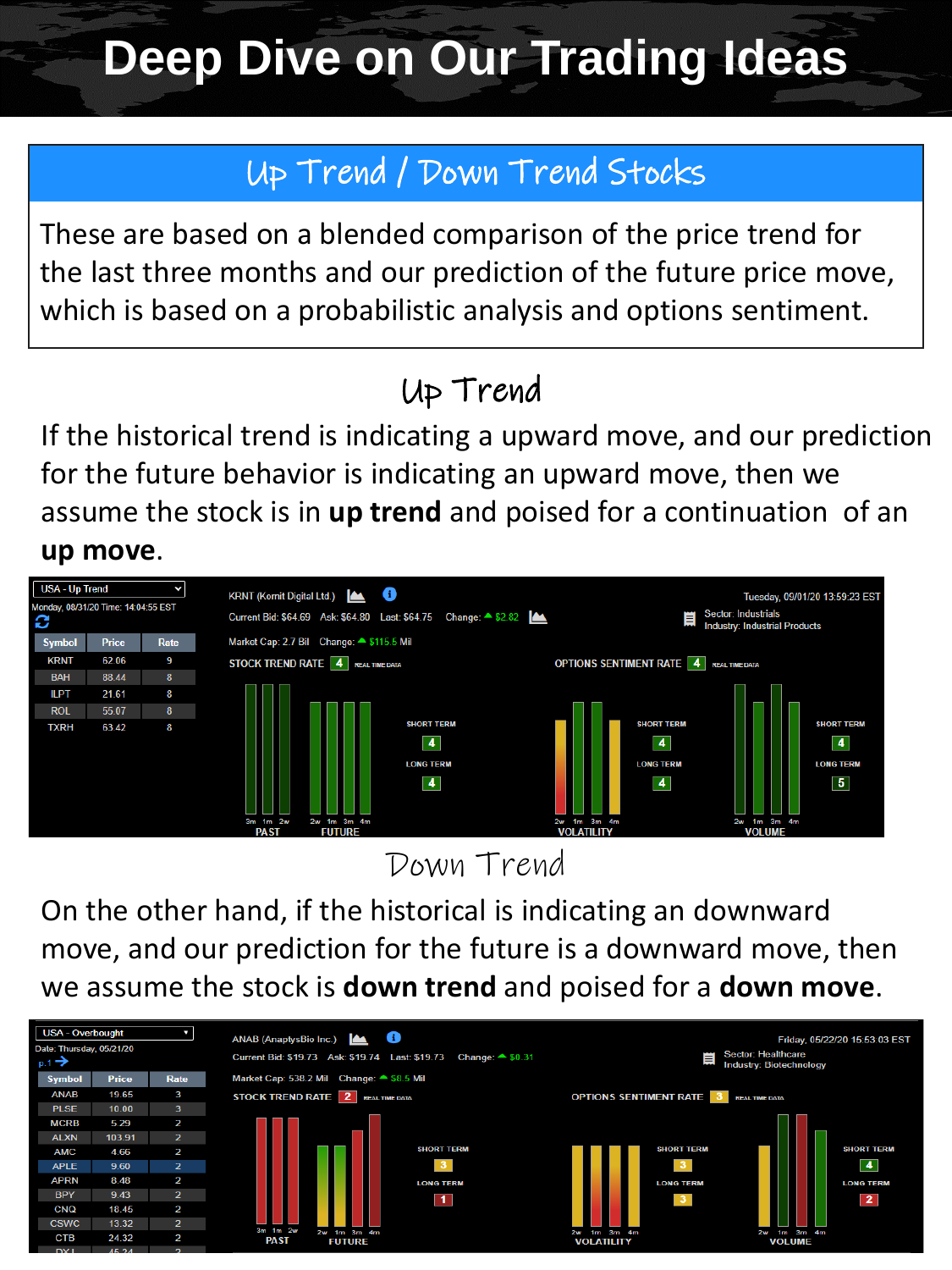## **Deep Dive on Our Trading Ideas**

## Up Trend / Down Trend Stocks

These are based on a blended comparison of the price trend for the last three months and our prediction of the future price move, which is based on a probabilistic analysis and options sentiment.

## Up Trend

If the historical trend is indicating a upward move, and our prediction for the future behavior is indicating an upward move, then we assume the stock is in **up trend** and poised for a continuation of an **up move**.

#### **USA - Up Trend**  $\checkmark$ KRNT (Kornit Digital Ltd.) **ALL O** Tuesday, 09/01/20 13:59:23 EST 100 April 14:04:55 April 14:04:55 Sector: Industrials Current Bid: \$64.69 Ask: \$64.80 Last: \$64.75 Change: 4 \$2.82  $\blacksquare$ C **Industry: Industrial Products** Symbol Market Cap: 2.7 Bil Change:  $\triangle$  \$115.5 Mil Price Rate **KRNT** 62.06 **STOCK TREND RATE 4** REAL TIME DATA **OPTIONS SENTIMENT RATE 4** REAL TIME DATA **BAH** 88.44 II PT 21.61 8 **ROL** 55.07 **SHORT TERM SHORT TERM SHORT TERM** 63.42 **TXRH**  $\vert$  4  $\overline{4}$  $\vert \vert$ **LONG TERM LONG TERN LONG TERM**  $\boxed{4}$  $\boxed{5}$  $\blacktriangleleft$

#### Down Trend

On the other hand, if the historical is indicating an downward move, and our prediction for the future is a downward move, then we assume the stock is **down trend** and poised for a **down move**.

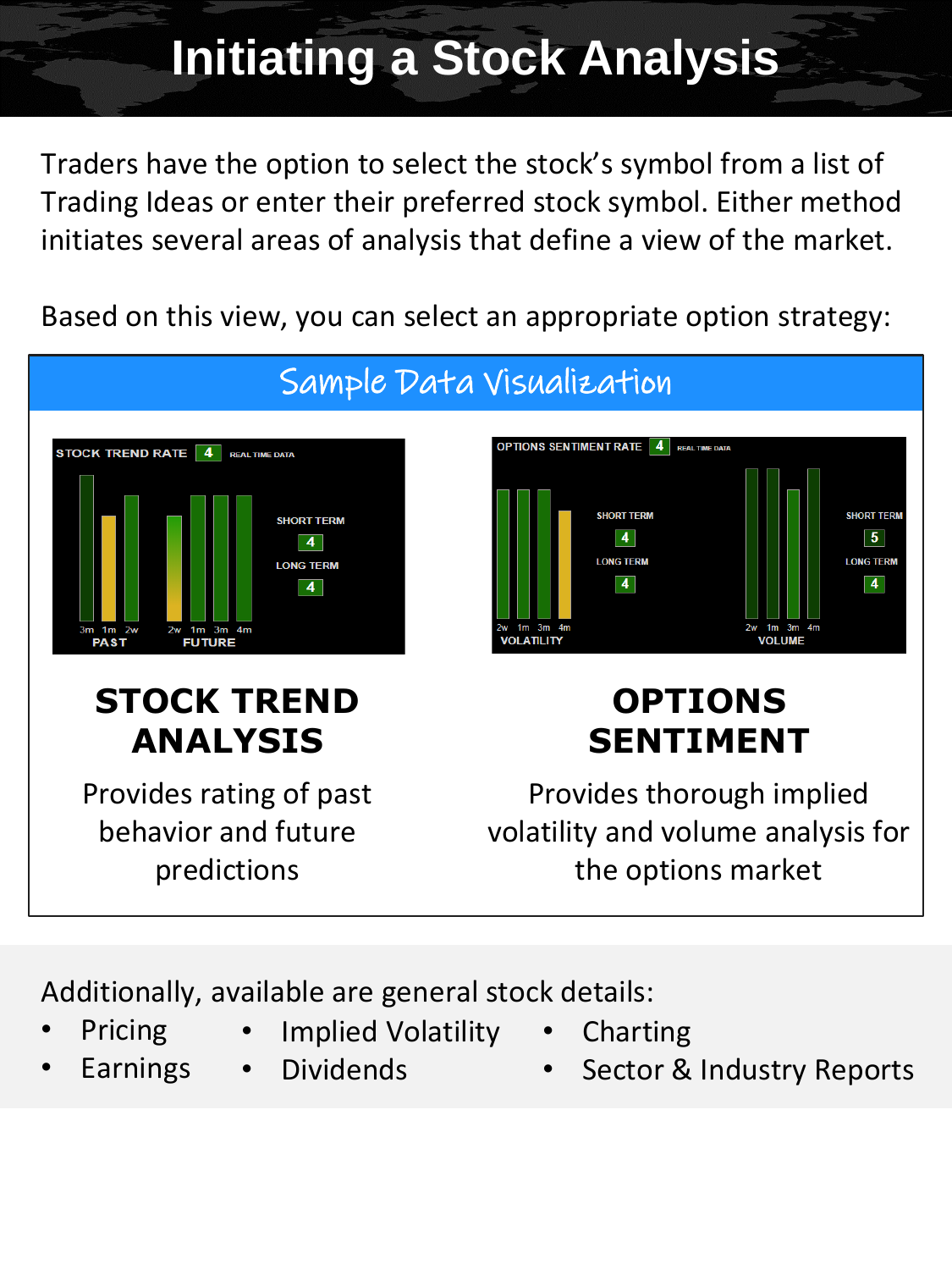## **Initiating a Stock Analysis**

Traders have the option to select the stock's symbol from a list of Trading Ideas or enter their preferred stock symbol. Either method initiates several areas of analysis that define a view of the market.

Based on this view, you can select an appropriate option strategy:



## **STOCK TREND ANALYSIS**

Provides rating of past behavior and future predictions

## **OPTIONS SENTIMENT**

Provides thorough implied volatility and volume analysis for the options market

Additionally, available are general stock details:

- **Pricing**
- Implied Volatility
- Charting
- **Earnings**
- **Dividends**
- Sector & Industry Reports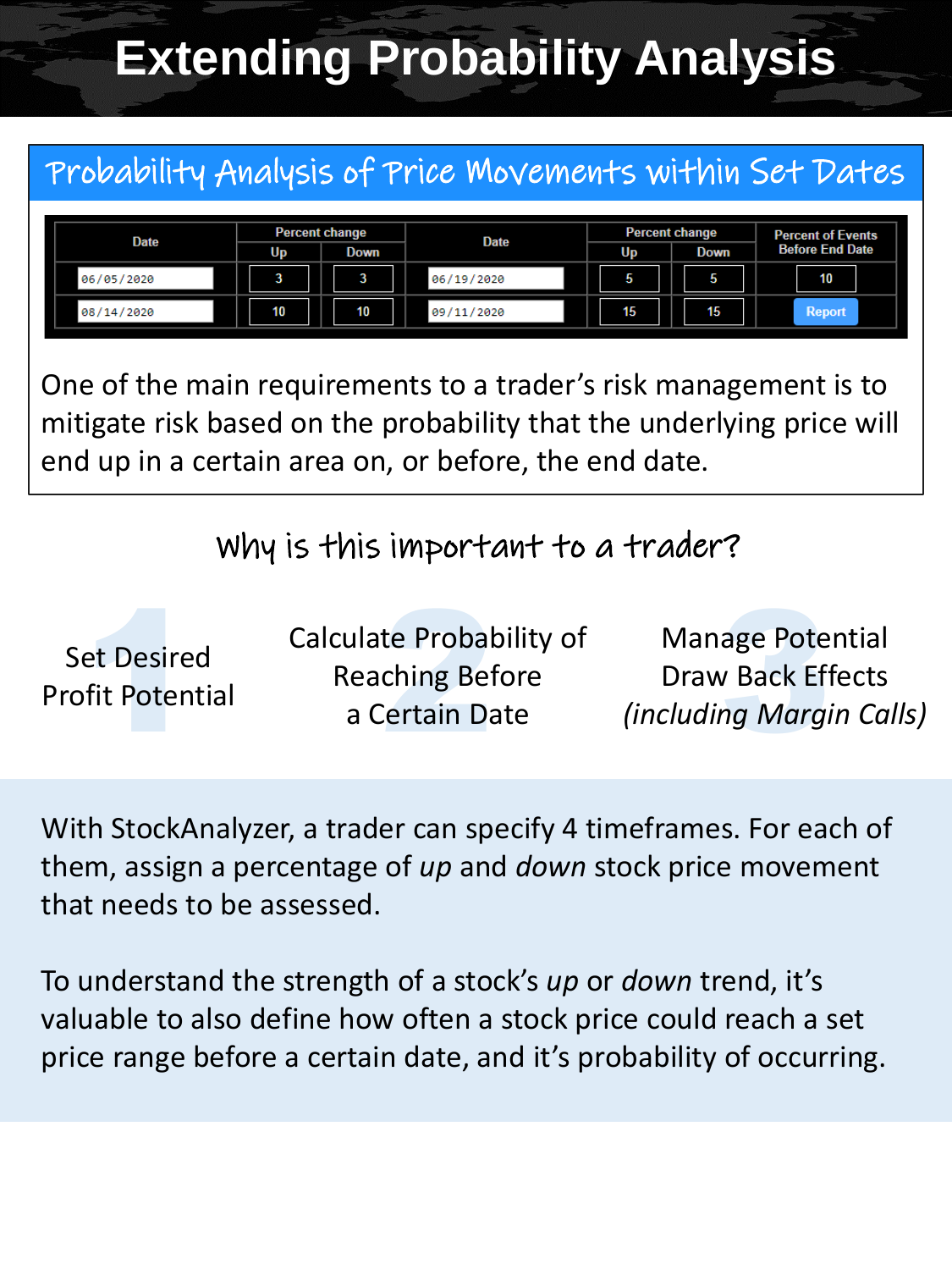## **Extending Probability Analysis**

## Probability Analysis of Price Movements within Set Dates



One of the main requirements to a trader's risk management is to mitigate risk based on the probability that the underlying price will end up in a certain area on, or before, the end date.

#### Why is this important to a trader?

| <b>Set Desired</b><br><b>Profit Potential</b> | Calculate Probability of<br><b>Reaching Before</b><br>a Certain Date | <b>Manage Potential</b><br><b>Draw Back Effects</b><br><i>(including Margin Calls)</i> |
|-----------------------------------------------|----------------------------------------------------------------------|----------------------------------------------------------------------------------------|
|-----------------------------------------------|----------------------------------------------------------------------|----------------------------------------------------------------------------------------|

With StockAnalyzer, a trader can specify 4 timeframes. For each of them, assign a percentage of *up* and *down* stock price movement that needs to be assessed.

To understand the strength of a stock's *up* or *down* trend, it's valuable to also define how often a stock price could reach a set price range before a certain date, and it's probability of occurring.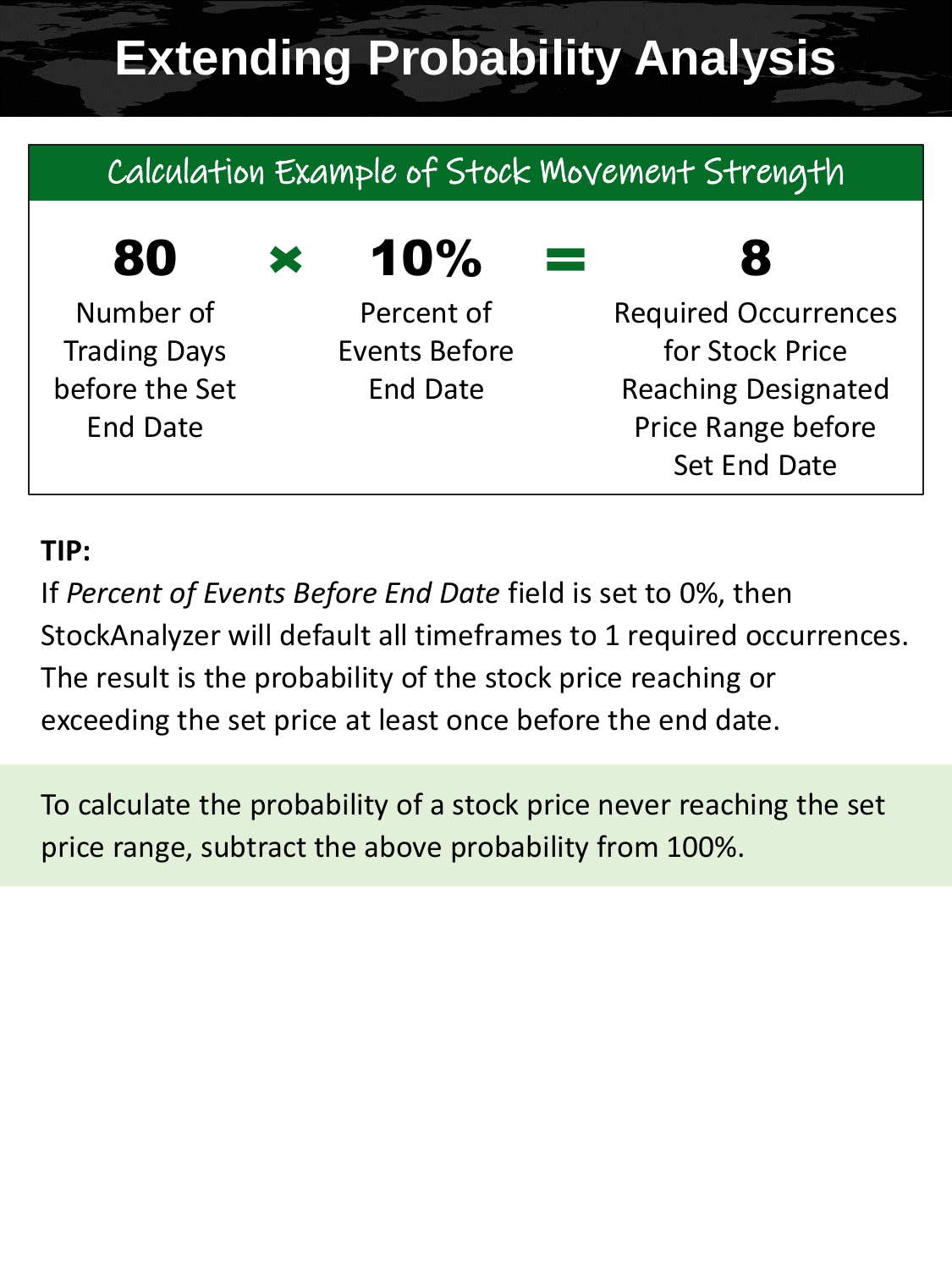## **Extending Probability Analysis**

## Calculation Example of Stock Movement Strength

## $80 \times 10\%$

Number of Trading Days before the Set End Date

Percent of Events Before End Date

## 8

Required Occurrences for Stock Price Reaching Designated Price Range before Set End Date

#### **TIP:**

If *Percent of Events Before End Date* field is set to 0%, then StockAnalyzer will default all timeframes to 1 required occurrences. The result is the probability of the stock price reaching or exceeding the set price at least once before the end date.

To calculate the probability of a stock price never reaching the set price range, subtract the above probability from 100%.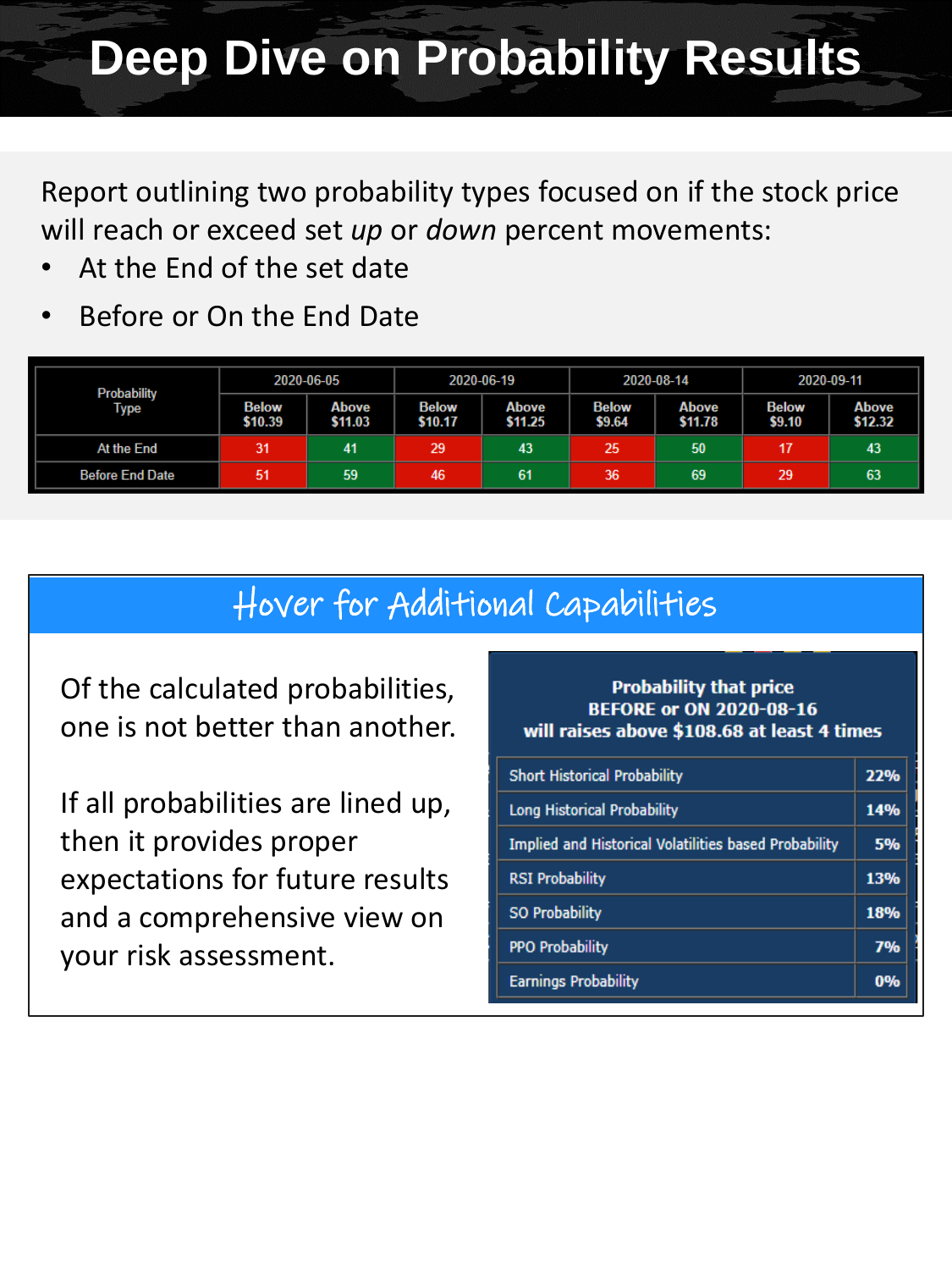## **Deep Dive on Probability Results**

Report outlining two probability types focused on if the stock price will reach or exceed set *up* or *down* percent movements:

- At the End of the set date
- Before or On the End Date

| <b>Probability</b>     | 2020-06-05              |                  | 2020-06-19              |                  | 2020-08-14             |                  | 2020-09-11             |                         |
|------------------------|-------------------------|------------------|-------------------------|------------------|------------------------|------------------|------------------------|-------------------------|
| Type                   | <b>Below</b><br>\$10.39 | Above<br>\$11.03 | <b>Below</b><br>\$10.17 | Above<br>\$11.25 | <b>Below</b><br>\$9.64 | Above<br>\$11.78 | <b>Below</b><br>\$9.10 | <b>Above</b><br>\$12.32 |
| At the End             | 31                      | 41               | 29                      | 43               | 25                     | 50               | 17                     | 43                      |
| <b>Before End Date</b> | 51                      | 59               | 46                      | 61               | 36                     | 69               | 29                     | 63                      |

#### Hover for Additional Capabilities

Of the calculated probabilities, one is not better than another.

If all probabilities are lined up, then it provides proper expectations for future results and a comprehensive view on your risk assessment.

#### **Probability that price BEFORE or ON 2020-08-16** will raises above \$108.68 at least 4 times

| <b>Short Historical Probability</b>                          | 22% |  |  |
|--------------------------------------------------------------|-----|--|--|
| Long Historical Probability                                  |     |  |  |
| <b>Implied and Historical Volatilities based Probability</b> | 5%  |  |  |
| <b>RSI Probability</b>                                       | 13% |  |  |
| <b>SO Probability</b>                                        | 18% |  |  |
| <b>PPO Probability</b>                                       | 7%  |  |  |
| <b>Earnings Probability</b>                                  | 0%  |  |  |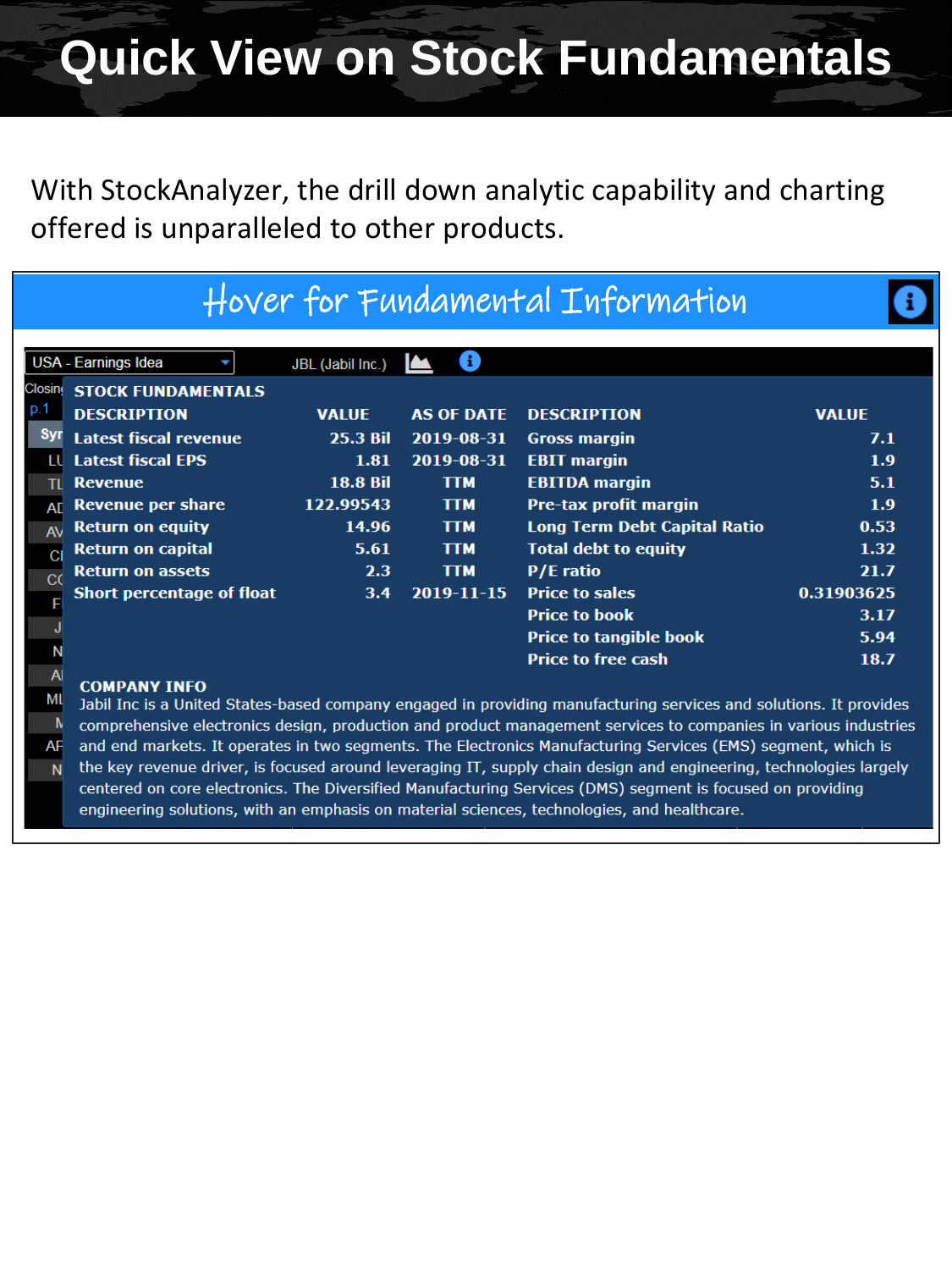With StockAnalyzer, the drill down analytic capability and charting offered is unparalleled to other products.

|               |                                  |                  |                   | Hover for Fundamental Information   |              |
|---------------|----------------------------------|------------------|-------------------|-------------------------------------|--------------|
|               | USA - Earnings Idea              | JBL (Jabil Inc.) | 8                 |                                     |              |
| <b>Closin</b> | <b>STOCK FUNDAMENTALS</b>        |                  |                   |                                     |              |
| p.1           | <b>DESCRIPTION</b>               | <b>VALUE</b>     | <b>AS OF DATE</b> | <b>DESCRIPTION</b>                  | <b>VALUE</b> |
| <b>Syr</b>    | <b>Latest fiscal revenue</b>     | <b>25.3 Bil</b>  | 2019-08-31        | <b>Gross margin</b>                 | 7.1          |
| ш             | <b>Latest fiscal EPS</b>         | 1.81             | 2019-08-31        | <b>EBIT</b> margin                  | 1.9          |
|               | <b>Revenue</b>                   | <b>18.8 Bil</b>  | <b>TTM</b>        | <b>EBITDA</b> margin                | 5.1          |
| AD            | Revenue per share                | 122.99543        | <b>TTM</b>        | <b>Pre-tax profit margin</b>        | 1.9          |
| $A\lambda$    | <b>Return on equity</b>          | 14.96            | <b>TTM</b>        | <b>Long Term Debt Capital Ratio</b> | 0.53         |
| C             | <b>Return on capital</b>         | 5.61             | <b>TTM</b>        | <b>Total debt to equity</b>         | 1.32         |
| C(            | <b>Return on assets</b>          | 2.3 <sub>1</sub> | <b>TTM</b>        | <b>P/E</b> ratio                    | 21.7         |
|               | <b>Short percentage of float</b> | 3.4              | $2019 - 11 - 15$  | <b>Price to sales</b>               | 0.31903625   |
|               |                                  |                  |                   | <b>Price to book</b>                | 3.17         |
|               |                                  |                  |                   | <b>Price to tangible book</b>       | 5.94         |
|               |                                  |                  |                   | <b>Price to free cash</b>           | 18.7         |
|               | <b>COMPANY INFO</b>              |                  |                   |                                     |              |

Jabil Inc is a United States-based company engaged in providing manufacturing services and solutions. It provides N comprehensive electronics design, production and product management services to companies in various industries **AF** and end markets. It operates in two segments. The Electronics Manufacturing Services (EMS) segment, which is the key revenue driver, is focused around leveraging IT, supply chain design and engineering, technologies largely N centered on core electronics. The Diversified Manufacturing Services (DMS) segment is focused on providing

engineering solutions, with an emphasis on material sciences, technologies, and healthcare.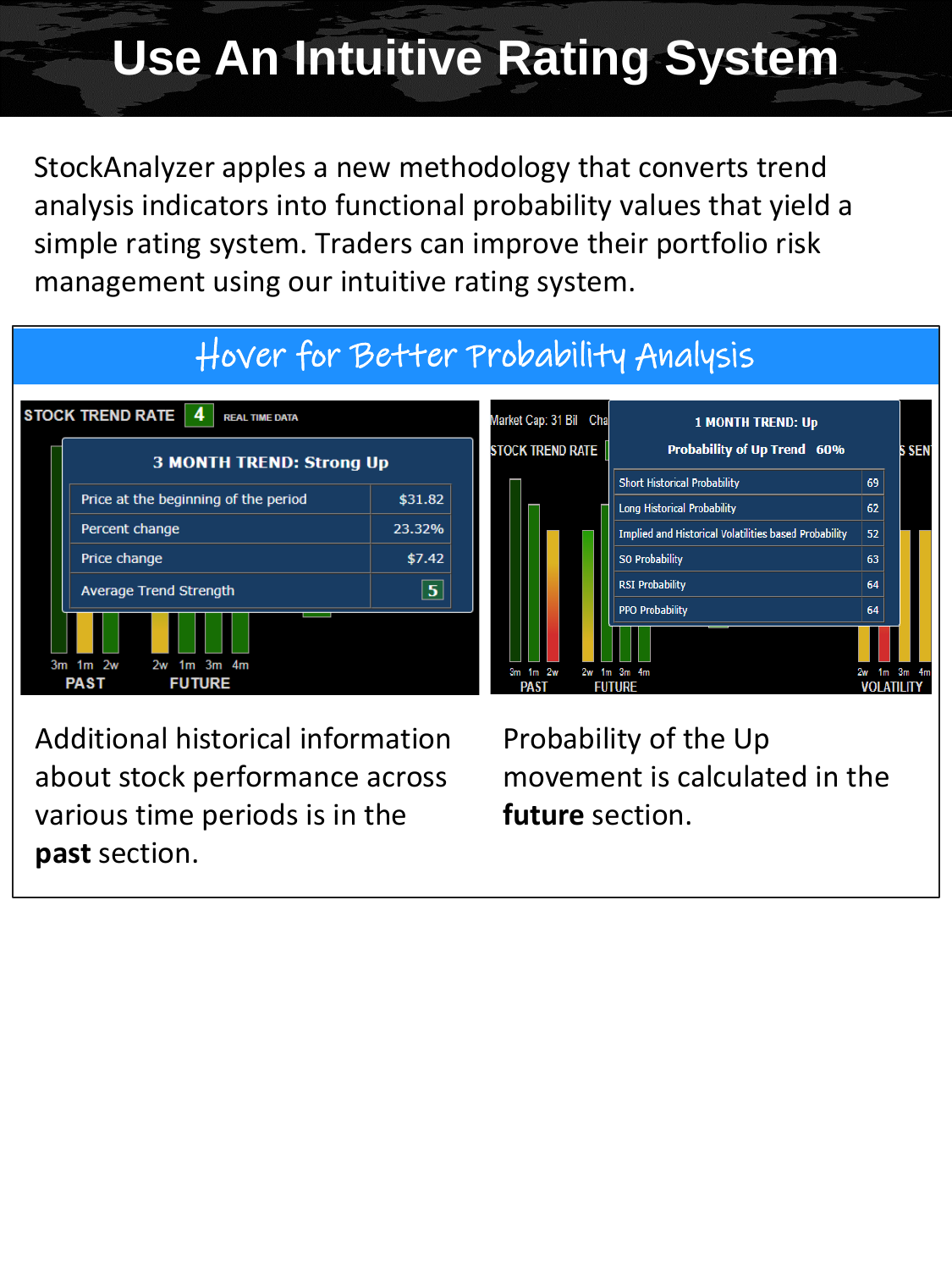## **Use An Intuitive Rating System**

StockAnalyzer apples a new methodology that converts trend analysis indicators into functional probability values that yield a simple rating system. Traders can improve their portfolio risk management using our intuitive rating system.

## Hover for Better Probability Analysis



 $3m$  1 $m$  2w  $2w$  $1m$  3 $m$  4 $n$  $1<sub>m</sub>$ **PAST FUTURE VOLATILITY** 

**1 MONTH TREND: Up** 

**Probability of Up Trend 60%** 

**Implied and Historical Volatilities based Probability** 

**S SEN** 

69

 $62$ 

 $52<sub>2</sub>$ 

63

 $64$ 

64

Additional historical information about stock performance across various time periods is in the **past** section.

Probability of the Up movement is calculated in the **future** section.

**Short Historical Probability** 

**Long Historical Probability** 

SO Probability **RSI Probability** 

**PPO Probability**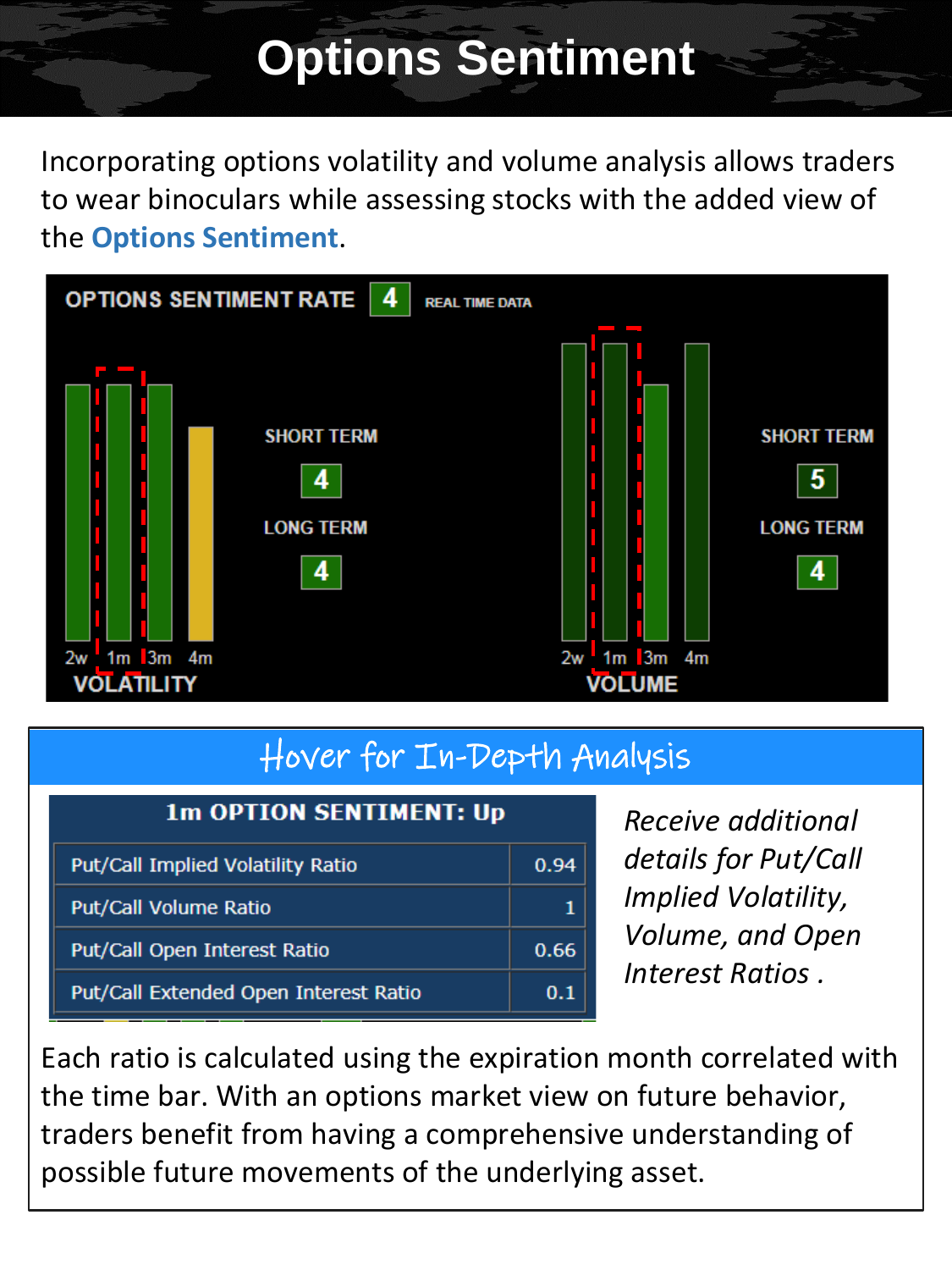## **Options Sentiment**

Incorporating options volatility and volume analysis allows traders to wear binoculars while assessing stocks with the added view of the **Options Sentiment**.



#### Hover for In-Depth Analysis

| <b>1m OPTION SENTIMENT: Up</b>        |      |  |  |
|---------------------------------------|------|--|--|
| Put/Call Implied Volatility Ratio     | 0.94 |  |  |
| <b>Put/Call Volume Ratio</b>          |      |  |  |
| Put/Call Open Interest Ratio          | 0.66 |  |  |
| Put/Call Extended Open Interest Ratio | 0.1  |  |  |

*Receive additional details for Put/Call Implied Volatility, Volume, and Open Interest Ratios .*

Each ratio is calculated using the expiration month correlated with the time bar. With an options market view on future behavior, traders benefit from having a comprehensive understanding of possible future movements of the underlying asset.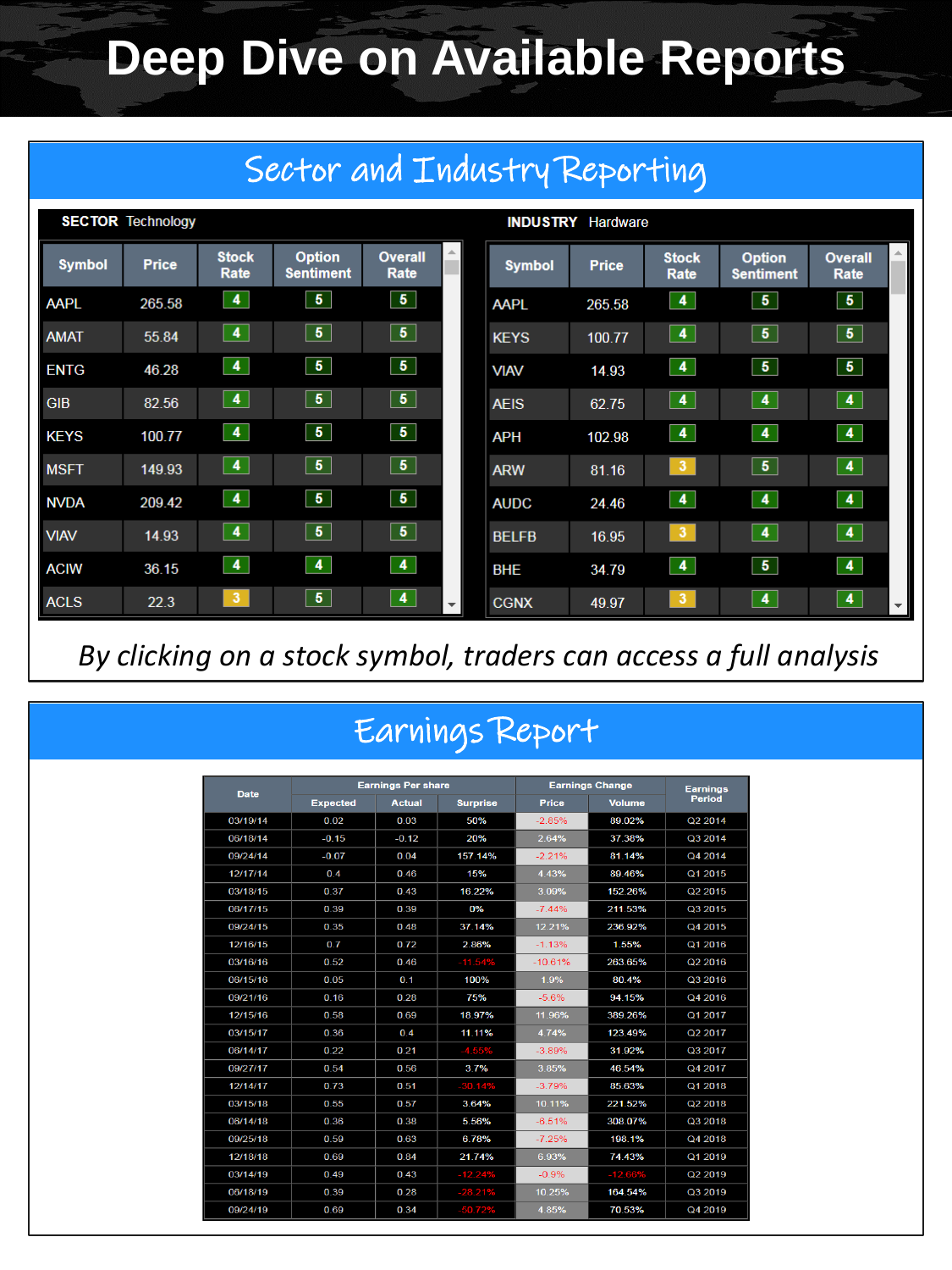## **Deep Dive on Available Reports**

| Sector and Industry Reporting |              |                         |                                   |                         |              |                          |              |                         |                                   |                        |  |  |
|-------------------------------|--------------|-------------------------|-----------------------------------|-------------------------|--------------|--------------------------|--------------|-------------------------|-----------------------------------|------------------------|--|--|
| <b>SECTOR Technology</b>      |              |                         |                                   |                         |              | <b>INDUSTRY</b> Hardware |              |                         |                                   |                        |  |  |
| <b>Symbol</b>                 | <b>Price</b> | <b>Stock</b><br>Rate    | <b>Option</b><br><b>Sentiment</b> | <b>Overall</b><br>Rate  |              | <b>Symbol</b>            | <b>Price</b> | <b>Stock</b><br>Rate    | <b>Option</b><br><b>Sentiment</b> | <b>Overall</b><br>Rate |  |  |
| <b>AAPL</b>                   | 265.58       | $\blacktriangleleft$    | 5 <sub>5</sub>                    | $\overline{\mathbf{5}}$ |              | <b>AAPL</b>              | 265.58       | $\blacktriangleleft$    | 5 <sup>7</sup>                    | 5 <sub>1</sub>         |  |  |
| <b>AMAT</b>                   | 55.84        | $\bullet$               | 5 <sub>5</sub>                    | 5 <sub>5</sub>          |              | <b>KEYS</b>              | 100.77       | 4                       | 5 <sub>1</sub>                    | 5 <sub>1</sub>         |  |  |
| <b>ENTG</b>                   | 46.28        | $\blacktriangleleft$    | 5 <sub>5</sub>                    | 5 <sub>1</sub>          |              | <b>VIAV</b>              | 14.93        | 4                       | 5 <sub>5</sub>                    | 5 <sub>1</sub>         |  |  |
| <b>GIB</b>                    | 82.56        | $\blacktriangleleft$    | $\sqrt{5}$                        | 5 <sup>1</sup>          |              | <b>AEIS</b>              | 62.75        | 4                       | $\vert 4 \vert$                   | $\blacktriangleleft$   |  |  |
| <b>KEYS</b>                   | 100.77       | $\overline{\mathbf{4}}$ | $\overline{5}$                    | $\overline{\mathbf{5}}$ |              | <b>APH</b>               | 102.98       | $\blacktriangleleft$    | $\overline{4}$                    | $\overline{4}$         |  |  |
| <b>MSFT</b>                   | 149.93       | $\blacktriangleleft$    | $\sqrt{5}$                        | $\overline{5}$          |              | <b>ARW</b>               | 81.16        | 3 <sup>7</sup>          | $\sqrt{5}$                        | $\blacktriangleleft$   |  |  |
| <b>NVDA</b>                   | 209.42       | $\blacktriangleleft$    | 5 <sub>5</sub>                    | 5 <sup>1</sup>          |              | <b>AUDC</b>              | 24.46        | $\blacktriangleleft$    | $\overline{4}$                    | $\blacktriangleleft$   |  |  |
| <b>VIAV</b>                   | 14.93        | $\overline{\mathbf{4}}$ | 5 <sub>5</sub>                    | 5 <sup>1</sup>          |              | <b>BELFB</b>             | 16.95        | $\overline{\mathbf{3}}$ | $\overline{4}$                    | $\blacktriangleleft$   |  |  |
| <b>ACIW</b>                   | 36.15        | $\blacktriangleleft$    | $\overline{4}$                    | 4                       |              | <b>BHE</b>               | 34.79        | 4                       | $\overline{5}$                    | $\blacktriangleleft$   |  |  |
| <b>ACLS</b>                   | 22.3         | 3                       | $\overline{\mathbf{5}}$           | $\blacktriangleleft$    | $\mathbf{v}$ | <b>CGNX</b>              | 49.97        | 3 <sub>o</sub>          | $\blacktriangleleft$              | 4                      |  |  |

*By clicking on a stock symbol, traders can access a full analysis*

## Earnings Report

| <b>Date</b> |                 | <b>Earnings Per share</b> |                 | <b>Earnings Change</b> | <b>Earnings</b> |               |  |
|-------------|-----------------|---------------------------|-----------------|------------------------|-----------------|---------------|--|
|             | <b>Expected</b> | <b>Actual</b>             | <b>Surprise</b> | <b>Price</b>           | <b>Volume</b>   | <b>Period</b> |  |
| 03/19/14    | 0.02            | 0.03                      | 50%             | $-2.85%$               | 89.02%          | Q2 2014       |  |
| 06/18/14    | $-0.15$         | $-0.12$                   | 20%             | 2.64%                  | 37.38%          | Q3 2014       |  |
| 09/24/14    | $-0.07$         | 0.04                      | 157.14%         | $-2.21%$               | 81.14%          | Q4 2014       |  |
| 12/17/14    | 0.4             | 0.46                      | 15%             | 4 4 3%                 | 89.46%          | Q1 2015       |  |
| 03/18/15    | 0.37            | 0.43                      | 16.22%          | 3.09%                  | 152.26%         | Q2 2015       |  |
| 06/17/15    | 0.39            | 0.39                      | 0%              | $-7.44%$               | 211.53%         | Q3 2015       |  |
| 09/24/15    | 0.35            | 0.48                      | 37.14%          | 12.21%                 | 236.92%         | Q4 2015       |  |
| 12/16/15    | 0.7             | 0.72                      | 2.86%           | $-1.13%$               | 1.55%           | Q1 2016       |  |
| 03/16/16    | 0.52            | 0.46                      | $-11.54%$       | $-10.61%$<br>263.65%   |                 | Q2 2016       |  |
| 06/15/16    | 0.05            | 0.1                       | 100%            | 1.9%                   | 80.4%           | Q3 2016       |  |
| 09/21/16    | 0.16            | 0.28                      | 75%             | $-5.6%$                | 94.15%          | Q4 2016       |  |
| 12/15/16    | 0.58            | 0.69                      | 18.97%          | 11.96%                 | 389.26%         | Q1 2017       |  |
| 03/15/17    | 0.36            | 0.4                       | 11.11%          | 4.74%                  | 123.49%         | Q2 2017       |  |
| 06/14/17    | 0.22            | 0.21                      | $-4.55%$        | $-3.89%$               | 31.92%          | Q3 2017       |  |
| 09/27/17    | 0.54            | 0.56                      | 3.7%            | 385%                   | 46.54%          | Q4 2017       |  |
| 12/14/17    | 0.73            | 0.51                      | $-30.14%$       | $-3.79%$               | 85.63%          | Q1 2018       |  |
| 03/15/18    | 0.55            | 0.57                      | 3.64%           | 10.11%                 | 221.52%         | Q2 2018       |  |
| 06/14/18    | 0.36            | 0.38                      | 5.56%           | $-6.51%$               | 308.07%         | Q3 2018       |  |
| 09/25/18    | 0.59            | 0.63                      | 6.78%           | $-7.25%$               | 198.1%          | Q4 2018       |  |
| 12/18/18    | 0.69            | 0.84                      | 21.74%          | 6.93%                  | 74.43%          | Q1 2019       |  |
| 03/14/19    | 0.49            | 0.43                      | $-12.24%$       | $-0.9%$                | $-12.66%$       | Q2 2019       |  |
| 06/18/19    | 0.39            | 0.28                      | $-28.21%$       | 10.25%                 | 164.54%         | Q3 2019       |  |
| 09/24/19    | 0.69            | 0.34                      | $-50.72%$       | 4 8 5%                 | 70.53%          | Q4 2019       |  |